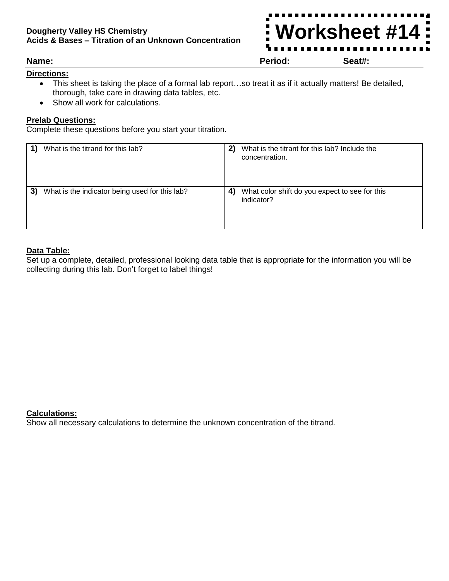## **Directions:**

- This sheet is taking the place of a formal lab report…so treat it as if it actually matters! Be detailed, thorough, take care in drawing data tables, etc.
- Show all work for calculations.

## **Prelab Questions:**

Complete these questions before you start your titration.

|    | What is the titrand for this lab?              | 2) | What is the titrant for this lab? Include the<br>concentration. |
|----|------------------------------------------------|----|-----------------------------------------------------------------|
| 3) | What is the indicator being used for this lab? | 4  | What color shift do you expect to see for this<br>indicator?    |

### **Data Table:**

Set up a complete, detailed, professional looking data table that is appropriate for the information you will be collecting during this lab. Don't forget to label things!

### **Calculations:**

Show all necessary calculations to determine the unknown concentration of the titrand.